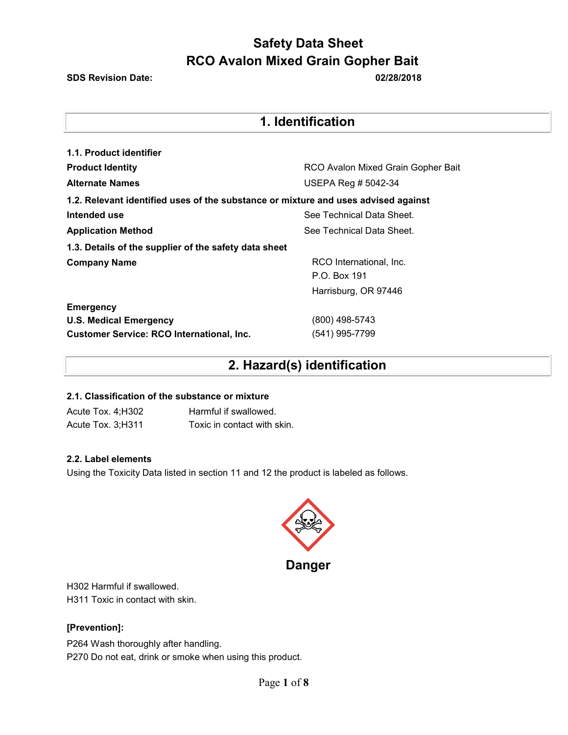**SDS Revision Date: 02/28/2018**

## **1. Identification**

| 1.1. Product identifier                                                            |                                    |  |  |
|------------------------------------------------------------------------------------|------------------------------------|--|--|
| <b>Product Identity</b>                                                            | RCO Avalon Mixed Grain Gopher Bait |  |  |
| <b>Alternate Names</b>                                                             | USEPA Reg # 5042-34                |  |  |
| 1.2. Relevant identified uses of the substance or mixture and uses advised against |                                    |  |  |
| Intended use                                                                       | See Technical Data Sheet.          |  |  |
| <b>Application Method</b>                                                          | See Technical Data Sheet.          |  |  |
| 1.3. Details of the supplier of the safety data sheet                              |                                    |  |  |
| <b>Company Name</b>                                                                | RCO International, Inc.            |  |  |
|                                                                                    | P.O. Box 191                       |  |  |
|                                                                                    | Harrisburg, OR 97446               |  |  |
| <b>Emergency</b>                                                                   |                                    |  |  |
| <b>U.S. Medical Emergency</b>                                                      | (800) 498-5743                     |  |  |
| <b>Customer Service: RCO International, Inc.</b>                                   | (541) 995-7799                     |  |  |

## **2. Hazard(s) identification**

### **2.1. Classification of the substance or mixture**

Acute Tox. 4;H302 Harmful if swallowed. Acute Tox. 3;H311 Toxic in contact with skin.

### **2.2. Label elements**

Using the Toxicity Data listed in section 11 and 12 the product is labeled as follows.



**Danger** 

H302 Harmful if swallowed. H311 Toxic in contact with skin.

### **[Prevention]:**

P264 Wash thoroughly after handling. P270 Do not eat, drink or smoke when using this product.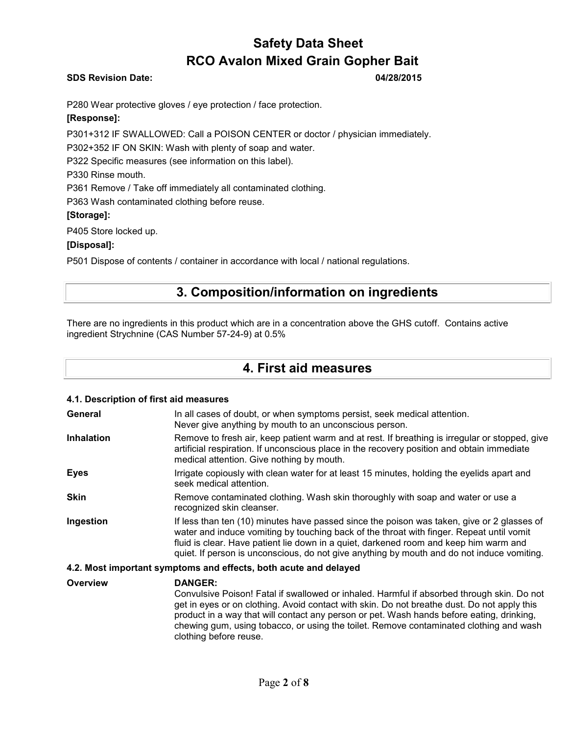### **SDS Revision Date: 04/28/2015**

P280 Wear protective gloves / eye protection / face protection.

### **[Response]:**

P301+312 IF SWALLOWED: Call a POISON CENTER or doctor / physician immediately.

P302+352 IF ON SKIN: Wash with plenty of soap and water.

P322 Specific measures (see information on this label).

P330 Rinse mouth.

P361 Remove / Take off immediately all contaminated clothing.

P363 Wash contaminated clothing before reuse.

### **[Storage]:**

P405 Store locked up.

### **[Disposal]:**

P501 Dispose of contents / container in accordance with local / national regulations.

## **3. Composition/information on ingredients**

There are no ingredients in this product which are in a concentration above the GHS cutoff. Contains active ingredient Strychnine (CAS Number 57-24-9) at 0.5%

### **4. First aid measures**

### **4.1. Description of first aid measures General** In all cases of doubt, or when symptoms persist, seek medical attention. Never give anything by mouth to an unconscious person. **Inhalation** Remove to fresh air, keep patient warm and at rest. If breathing is irregular or stopped, give artificial respiration. If unconscious place in the recovery position and obtain immediate medical attention. Give nothing by mouth. **Eyes** Irrigate copiously with clean water for at least 15 minutes, holding the eyelids apart and seek medical attention. **Skin** Remove contaminated clothing. Wash skin thoroughly with soap and water or use a recognized skin cleanser. **Ingestion** If less than ten (10) minutes have passed since the poison was taken, give or 2 glasses of water and induce vomiting by touching back of the throat with finger. Repeat until vomit fluid is clear. Have patient lie down in a quiet, darkened room and keep him warm and quiet. If person is unconscious, do not give anything by mouth and do not induce vomiting. **4.2. Most important symptoms and effects, both acute and delayed**

**Overview DANGER:**  Convulsive Poison! Fatal if swallowed or inhaled. Harmful if absorbed through skin. Do not get in eyes or on clothing. Avoid contact with skin. Do not breathe dust. Do not apply this product in a way that will contact any person or pet. Wash hands before eating, drinking, chewing gum, using tobacco, or using the toilet. Remove contaminated clothing and wash clothing before reuse.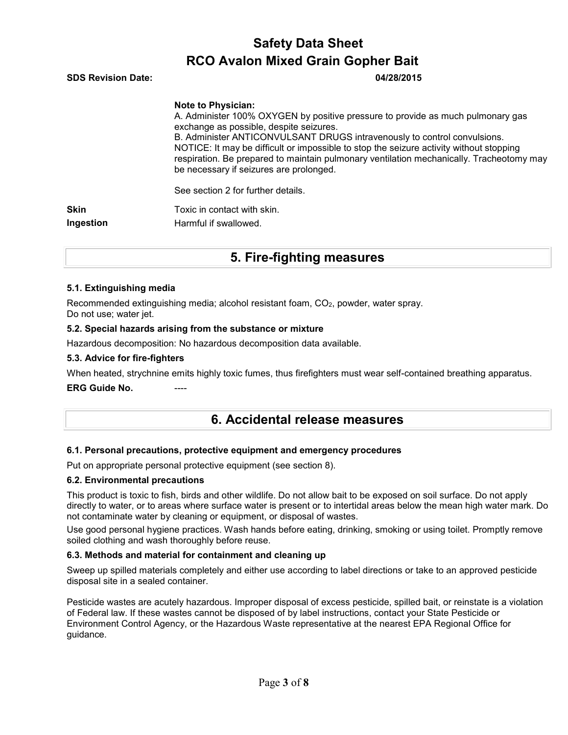| <b>RCO Avalon Mixed Grain Gopher Bait</b> |                                                                                                                                                                                                                                                                                                                                                                                                                            |  |  |  |
|-------------------------------------------|----------------------------------------------------------------------------------------------------------------------------------------------------------------------------------------------------------------------------------------------------------------------------------------------------------------------------------------------------------------------------------------------------------------------------|--|--|--|
| <b>SDS Revision Date:</b>                 | 04/28/2015                                                                                                                                                                                                                                                                                                                                                                                                                 |  |  |  |
|                                           | <b>Note to Physician:</b><br>A. Administer 100% OXYGEN by positive pressure to provide as much pulmonary gas<br>exchange as possible, despite seizures.<br>B. Administer ANTICONVULSANT DRUGS intravenously to control convulsions.<br>NOTICE: It may be difficult or impossible to stop the seizure activity without stopping<br>respiration. Be prepared to maintain pulmonary ventilation mechanically. Tracheotomy may |  |  |  |
|                                           | be necessary if seizures are prolonged.<br>See section 2 for further details.                                                                                                                                                                                                                                                                                                                                              |  |  |  |
| <b>Skin</b>                               | Toxic in contact with skin.                                                                                                                                                                                                                                                                                                                                                                                                |  |  |  |
| Ingestion                                 | Harmful if swallowed.                                                                                                                                                                                                                                                                                                                                                                                                      |  |  |  |

**Safety Data Sheet** 

## **5. Fire-fighting measures**

### **5.1. Extinguishing media**

Recommended extinguishing media; alcohol resistant foam, CO<sub>2</sub>, powder, water spray. Do not use; water jet.

### **5.2. Special hazards arising from the substance or mixture**

Hazardous decomposition: No hazardous decomposition data available.

### **5.3. Advice for fire-fighters**

When heated, strychnine emits highly toxic fumes, thus firefighters must wear self-contained breathing apparatus.

### **ERG Guide No.**

### **6. Accidental release measures**

### **6.1. Personal precautions, protective equipment and emergency procedures**

Put on appropriate personal protective equipment (see section 8).

### **6.2. Environmental precautions**

This product is toxic to fish, birds and other wildlife. Do not allow bait to be exposed on soil surface. Do not apply directly to water, or to areas where surface water is present or to intertidal areas below the mean high water mark. Do not contaminate water by cleaning or equipment, or disposal of wastes.

Use good personal hygiene practices. Wash hands before eating, drinking, smoking or using toilet. Promptly remove soiled clothing and wash thoroughly before reuse.

### **6.3. Methods and material for containment and cleaning up**

Sweep up spilled materials completely and either use according to label directions or take to an approved pesticide disposal site in a sealed container.

Pesticide wastes are acutely hazardous. Improper disposal of excess pesticide, spilled bait, or reinstate is a violation of Federal law. If these wastes cannot be disposed of by label instructions, contact your State Pesticide or Environment Control Agency, or the Hazardous Waste representative at the nearest EPA Regional Office for guidance.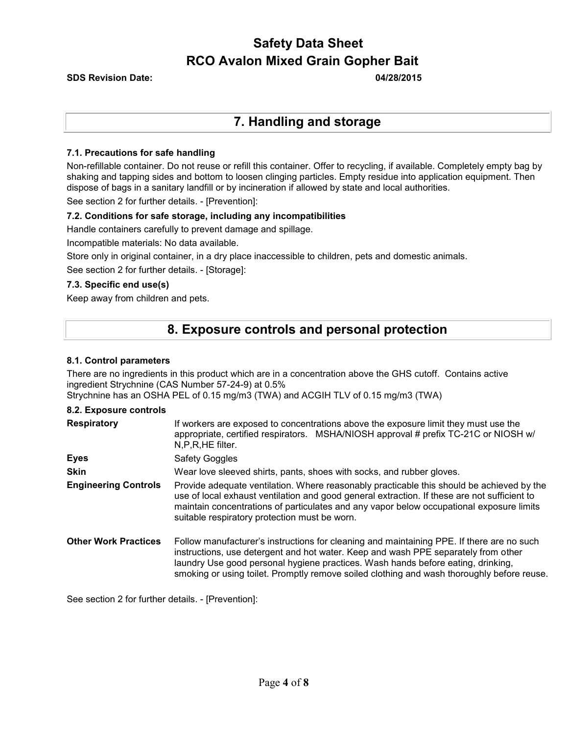**SDS Revision Date: 04/28/2015** 

## **7. Handling and storage**

### **7.1. Precautions for safe handling**

Non-refillable container. Do not reuse or refill this container. Offer to recycling, if available. Completely empty bag by shaking and tapping sides and bottom to loosen clinging particles. Empty residue into application equipment. Then dispose of bags in a sanitary landfill or by incineration if allowed by state and local authorities.

See section 2 for further details. - [Prevention]:

### **7.2. Conditions for safe storage, including any incompatibilities**

Handle containers carefully to prevent damage and spillage.

Incompatible materials: No data available.

Store only in original container, in a dry place inaccessible to children, pets and domestic animals.

See section 2 for further details. - [Storage]:

### **7.3. Specific end use(s)**

Keep away from children and pets.

### **8. Exposure controls and personal protection**

### **8.1. Control parameters**

There are no ingredients in this product which are in a concentration above the GHS cutoff. Contains active ingredient Strychnine (CAS Number 57-24-9) at 0.5%

Strychnine has an OSHA PEL of 0.15 mg/m3 (TWA) and ACGIH TLV of 0.15 mg/m3 (TWA)

### **8.2. Exposure controls**

| <b>Respiratory</b>          | If workers are exposed to concentrations above the exposure limit they must use the<br>appropriate, certified respirators. MSHA/NIOSH approval # prefix TC-21C or NIOSH w/<br>N,P,R,HE filter.                                                                                                                                                                    |  |  |  |
|-----------------------------|-------------------------------------------------------------------------------------------------------------------------------------------------------------------------------------------------------------------------------------------------------------------------------------------------------------------------------------------------------------------|--|--|--|
| <b>Eyes</b>                 | <b>Safety Goggles</b>                                                                                                                                                                                                                                                                                                                                             |  |  |  |
| <b>Skin</b>                 | Wear love sleeved shirts, pants, shoes with socks, and rubber gloves.                                                                                                                                                                                                                                                                                             |  |  |  |
| <b>Engineering Controls</b> | Provide adequate ventilation. Where reasonably practicable this should be achieved by the<br>use of local exhaust ventilation and good general extraction. If these are not sufficient to<br>maintain concentrations of particulates and any vapor below occupational exposure limits<br>suitable respiratory protection must be worn.                            |  |  |  |
| <b>Other Work Practices</b> | Follow manufacturer's instructions for cleaning and maintaining PPE. If there are no such<br>instructions, use detergent and hot water. Keep and wash PPE separately from other<br>laundry Use good personal hygiene practices. Wash hands before eating, drinking,<br>smoking or using toilet. Promptly remove soiled clothing and wash thoroughly before reuse. |  |  |  |

See section 2 for further details. - [Prevention]: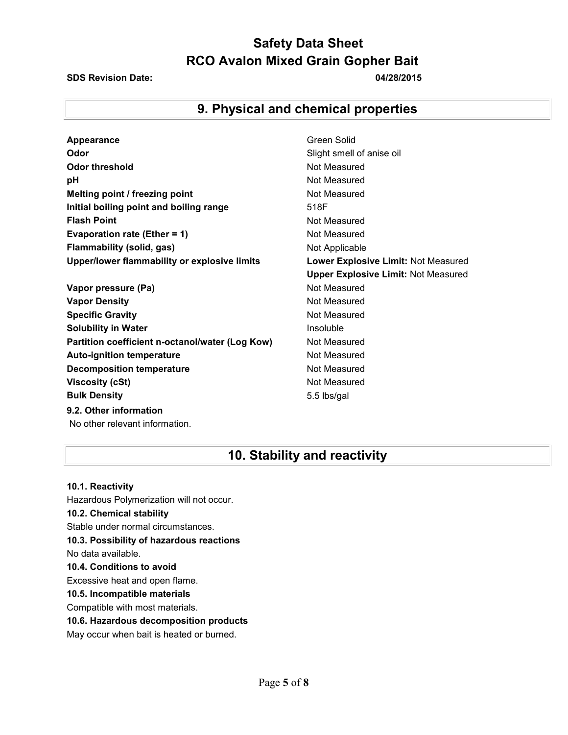### **SDS Revision Date: 04/28/2015**

## **9. Physical and chemical properties**

| <b>Appearance</b>                               | Green Solid        |
|-------------------------------------------------|--------------------|
| Odor                                            | Slight smell       |
| <b>Odor threshold</b>                           | Not Measure        |
| pH                                              | Not Measure        |
| Melting point / freezing point                  | Not Measure        |
| Initial boiling point and boiling range         | 518F               |
| <b>Flash Point</b>                              | Not Measure        |
| Evaporation rate (Ether = $1$ )                 | Not Measure        |
| Flammability (solid, gas)                       | Not Applicab       |
| Upper/lower flammability or explosive limits    | <b>Lower Exple</b> |
|                                                 | <b>Upper Explo</b> |
| Vapor pressure (Pa)                             | Not Measure        |
| <b>Vapor Density</b>                            | Not Measure        |
| <b>Specific Gravity</b>                         | Not Measure        |
| <b>Solubility in Water</b>                      | Insoluble          |
| Partition coefficient n-octanol/water (Log Kow) | Not Measure        |
| <b>Auto-ignition temperature</b>                | Not Measure        |
| <b>Decomposition temperature</b>                | Not Measure        |
| <b>Viscosity (cSt)</b>                          | Not Measure        |
| <b>Bulk Density</b>                             | 5.5 lbs/gal        |
| 9.2. Other information                          |                    |
| No other relevant information.                  |                    |

## **pht smell of anise oil ot Measured t** Measured **K** Measured **K** Measured **It Measured Replicable Wer Explosive Limit: Not Measured** per Explosive Limit: Not Measured **K** Measured *Measured* **K** Measured **Reasured K** Measured **t** Measured **t** Measured

## **10. Stability and reactivity**

**10.1. Reactivity** Hazardous Polymerization will not occur. **10.2. Chemical stability** Stable under normal circumstances. **10.3. Possibility of hazardous reactions** No data available. **10.4. Conditions to avoid** Excessive heat and open flame. **10.5. Incompatible materials** Compatible with most materials. **10.6. Hazardous decomposition products**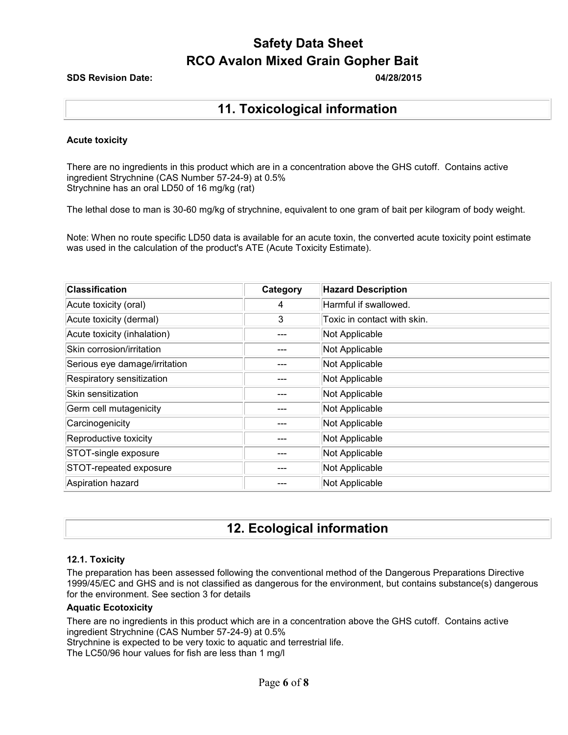### **SDS Revision Date: 04/28/2015**

## **11. Toxicological information**

### **Acute toxicity**

There are no ingredients in this product which are in a concentration above the GHS cutoff. Contains active ingredient Strychnine (CAS Number 57-24-9) at 0.5% Strychnine has an oral LD50 of 16 mg/kg (rat)

The lethal dose to man is 30-60 mg/kg of strychnine, equivalent to one gram of bait per kilogram of body weight.

Note: When no route specific LD50 data is available for an acute toxin, the converted acute toxicity point estimate was used in the calculation of the product's ATE (Acute Toxicity Estimate).

| <b>Classification</b>         | Category | <b>Hazard Description</b>   |
|-------------------------------|----------|-----------------------------|
| Acute toxicity (oral)         | 4        | Harmful if swallowed.       |
| Acute toxicity (dermal)       | 3        | Toxic in contact with skin. |
| Acute toxicity (inhalation)   |          | Not Applicable              |
| Skin corrosion/irritation     |          | Not Applicable              |
| Serious eye damage/irritation |          | Not Applicable              |
| Respiratory sensitization     |          | Not Applicable              |
| Skin sensitization            |          | Not Applicable              |
| Germ cell mutagenicity        |          | Not Applicable              |
| Carcinogenicity               |          | Not Applicable              |
| Reproductive toxicity         |          | Not Applicable              |
| STOT-single exposure          |          | Not Applicable              |
| STOT-repeated exposure        |          | Not Applicable              |
| Aspiration hazard             |          | Not Applicable              |

## **12. Ecological information**

### **12.1. Toxicity**

The preparation has been assessed following the conventional method of the Dangerous Preparations Directive 1999/45/EC and GHS and is not classified as dangerous for the environment, but contains substance(s) dangerous for the environment. See section 3 for details

### **Aquatic Ecotoxicity**

There are no ingredients in this product which are in a concentration above the GHS cutoff. Contains active ingredient Strychnine (CAS Number 57-24-9) at 0.5%

Strychnine is expected to be very toxic to aquatic and terrestrial life.

The LC50/96 hour values for fish are less than 1 mg/l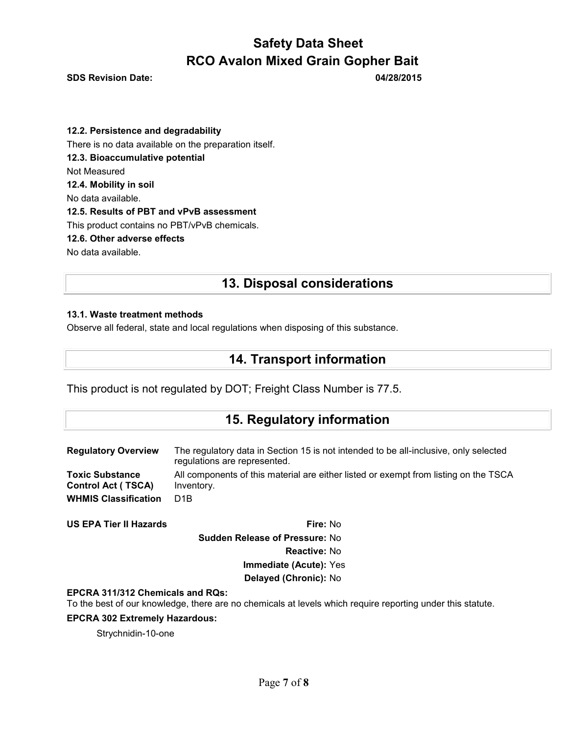**SDS Revision Date: 04/28/2015** 

**12.2. Persistence and degradability** There is no data available on the preparation itself. **12.3. Bioaccumulative potential** Not Measured **12.4. Mobility in soil** No data available. **12.5. Results of PBT and vPvB assessment** This product contains no PBT/vPvB chemicals. **12.6. Other adverse effects** No data available.

## **13. Disposal considerations**

### **13.1. Waste treatment methods**

Observe all federal, state and local regulations when disposing of this substance.

## **14. Transport information**

This product is not regulated by DOT; Freight Class Number is 77.5.

### **15. Regulatory information**

| <b>Regulatory Overview</b>  | The regulatory data in Section 15 is not intended to be all-inclusive, only selected<br>regulations are represented. |
|-----------------------------|----------------------------------------------------------------------------------------------------------------------|
| <b>Toxic Substance</b>      | All components of this material are either listed or exempt from listing on the TSCA                                 |
| <b>Control Act (TSCA)</b>   | Inventory.                                                                                                           |
| <b>WHMIS Classification</b> | D <sub>1</sub> B                                                                                                     |

**US EPA Tier II Hazards Fire:** No **Sudden Release of Pressure:** No **Reactive:** No **Immediate (Acute):** Yes **Delayed (Chronic):** No

### **EPCRA 311/312 Chemicals and RQs:**

To the best of our knowledge, there are no chemicals at levels which require reporting under this statute.

### **EPCRA 302 Extremely Hazardous:**

Strychnidin-10-one